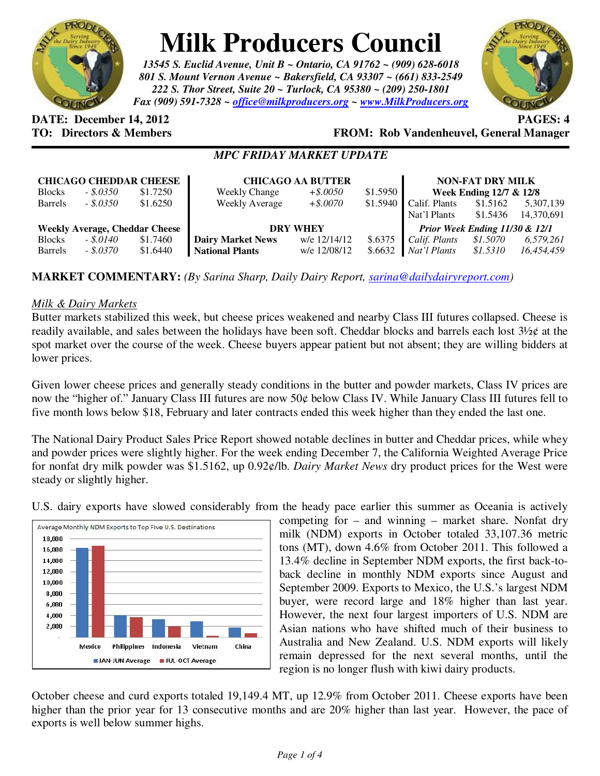

# **Milk Producers Council**

*13545 S. Euclid Avenue, Unit B ~ Ontario, CA 91762 ~ (909) 628-6018 801 S. Mount Vernon Avenue ~ Bakersfield, CA 93307 ~ (661) 833-2549 222 S. Thor Street, Suite 20 ~ Turlock, CA 95380 ~ (209) 250-1801 Fax (909) 591-7328 ~ office@milkproducers.org ~ www.MilkProducers.org*



# **DATE:** December 14, 2012 **PAGES:** 4

**TO: Directors & Members FROM: Rob Vandenheuvel, General Manager** 

# *MPC FRIDAY MARKET UPDATE*

|                                       | <b>CHICAGO CHEDDAR CHEESE</b> |          | <b>CHICAGO AA BUTTER</b> |              |           | <b>NON-FAT DRY MILK</b>        |          |            |
|---------------------------------------|-------------------------------|----------|--------------------------|--------------|-----------|--------------------------------|----------|------------|
| <b>Blocks</b>                         | $-.5.0350$                    | \$1.7250 | <b>Weekly Change</b>     | $+$ \$.0050  | $$1.5950$ | Week Ending 12/7 & 12/8        |          |            |
| <b>Barrels</b>                        | $-.5.0350$                    | \$1.6250 | <b>Weekly Average</b>    | $+$ \$.0070  | \$1.5940  | Calif. Plants                  | \$1.5162 | 5,307,139  |
|                                       |                               |          |                          |              |           | Nat'l Plants                   | \$1.5436 | 14,370,691 |
| <b>Weekly Average, Cheddar Cheese</b> |                               |          | <b>DRY WHEY</b>          |              |           | Prior Week Ending 11/30 & 12/1 |          |            |
| <b>Blocks</b>                         | $-.5.0140$                    | \$1.7460 | <b>Dairy Market News</b> | w/e 12/14/12 | \$.6375   | Calif. Plants                  | \$1.5070 | 6,579,261  |
| <b>Barrels</b>                        | $-.8.0370$                    | \$1.6440 | <b>National Plants</b>   | w/e 12/08/12 | \$.6632   | Nat'l Plants                   | \$1.5310 | 16,454,459 |

# **MARKET COMMENTARY:** *(By Sarina Sharp, Daily Dairy Report, sarina@dailydairyreport.com)*

### *Milk & Dairy Markets*

Butter markets stabilized this week, but cheese prices weakened and nearby Class III futures collapsed. Cheese is readily available, and sales between the holidays have been soft. Cheddar blocks and barrels each lost  $3\frac{1}{2}$ ¢ at the spot market over the course of the week. Cheese buyers appear patient but not absent; they are willing bidders at lower prices.

Given lower cheese prices and generally steady conditions in the butter and powder markets, Class IV prices are now the "higher of." January Class III futures are now 50¢ below Class IV. While January Class III futures fell to five month lows below \$18, February and later contracts ended this week higher than they ended the last one.

The National Dairy Product Sales Price Report showed notable declines in butter and Cheddar prices, while whey and powder prices were slightly higher. For the week ending December 7, the California Weighted Average Price for nonfat dry milk powder was \$1.5162, up 0.92¢/lb. *Dairy Market News* dry product prices for the West were steady or slightly higher.

U.S. dairy exports have slowed considerably from the heady pace earlier this summer as Oceania is actively



competing for – and winning – market share. Nonfat dry milk (NDM) exports in October totaled 33,107.36 metric tons (MT), down 4.6% from October 2011. This followed a 13.4% decline in September NDM exports, the first back-toback decline in monthly NDM exports since August and September 2009. Exports to Mexico, the U.S.'s largest NDM buyer, were record large and 18% higher than last year. However, the next four largest importers of U.S. NDM are Asian nations who have shifted much of their business to Australia and New Zealand. U.S. NDM exports will likely remain depressed for the next several months, until the region is no longer flush with kiwi dairy products.

October cheese and curd exports totaled 19,149.4 MT, up 12.9% from October 2011. Cheese exports have been higher than the prior year for 13 consecutive months and are 20% higher than last year. However, the pace of exports is well below summer highs.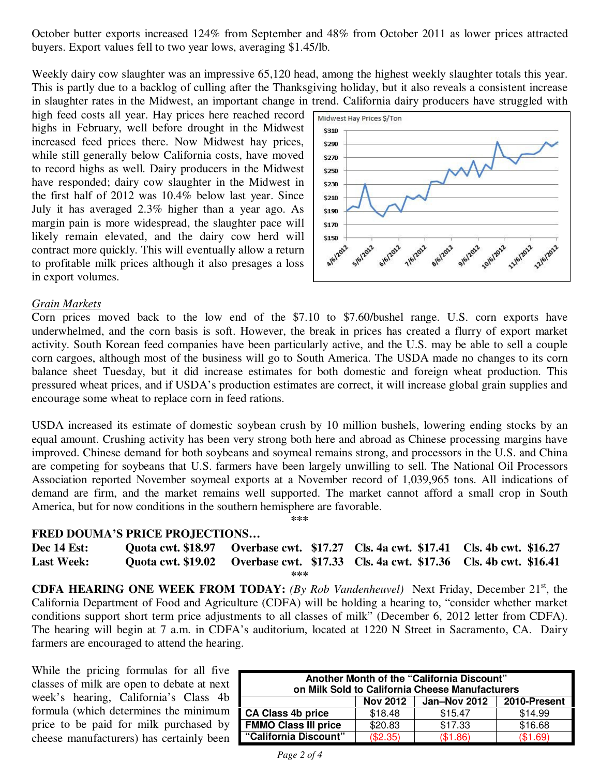October butter exports increased 124% from September and 48% from October 2011 as lower prices attracted buyers. Export values fell to two year lows, averaging \$1.45/lb.

Weekly dairy cow slaughter was an impressive 65,120 head, among the highest weekly slaughter totals this year. This is partly due to a backlog of culling after the Thanksgiving holiday, but it also reveals a consistent increase in slaughter rates in the Midwest, an important change in trend. California dairy producers have struggled with

high feed costs all year. Hay prices here reached record highs in February, well before drought in the Midwest increased feed prices there. Now Midwest hay prices, while still generally below California costs, have moved to record highs as well. Dairy producers in the Midwest have responded; dairy cow slaughter in the Midwest in the first half of 2012 was 10.4% below last year. Since July it has averaged 2.3% higher than a year ago. As margin pain is more widespread, the slaughter pace will likely remain elevated, and the dairy cow herd will contract more quickly. This will eventually allow a return to profitable milk prices although it also presages a loss in export volumes.



#### *Grain Markets*

Corn prices moved back to the low end of the \$7.10 to \$7.60/bushel range. U.S. corn exports have underwhelmed, and the corn basis is soft. However, the break in prices has created a flurry of export market activity. South Korean feed companies have been particularly active, and the U.S. may be able to sell a couple corn cargoes, although most of the business will go to South America. The USDA made no changes to its corn balance sheet Tuesday, but it did increase estimates for both domestic and foreign wheat production. This pressured wheat prices, and if USDA's production estimates are correct, it will increase global grain supplies and encourage some wheat to replace corn in feed rations.

USDA increased its estimate of domestic soybean crush by 10 million bushels, lowering ending stocks by an equal amount. Crushing activity has been very strong both here and abroad as Chinese processing margins have improved. Chinese demand for both soybeans and soymeal remains strong, and processors in the U.S. and China are competing for soybeans that U.S. farmers have been largely unwilling to sell. The National Oil Processors Association reported November soymeal exports at a November record of 1,039,965 tons. All indications of demand are firm, and the market remains well supported. The market cannot afford a small crop in South America, but for now conditions in the southern hemisphere are favorable. **\*\*\*** 

#### **FRED DOUMA'S PRICE PROJECTIONS…**

| <b>Dec 14 Est:</b> | Quota cwt. \$18.97 Overbase cwt. \$17.27 Cls. 4a cwt. \$17.41 Cls. 4b cwt. \$16.27 |  |
|--------------------|------------------------------------------------------------------------------------|--|
| <b>Last Week:</b>  | Quota cwt. \$19.02 Overbase cwt. \$17.33 Cls. 4a cwt. \$17.36 Cls. 4b cwt. \$16.41 |  |
|                    | ***                                                                                |  |

**CDFA HEARING ONE WEEK FROM TODAY:** *(By Rob Vandenheuvel)* Next Friday, December 21<sup>st</sup>, the California Department of Food and Agriculture (CDFA) will be holding a hearing to, "consider whether market conditions support short term price adjustments to all classes of milk" (December 6, 2012 letter from CDFA). The hearing will begin at 7 a.m. in CDFA's auditorium, located at 1220 N Street in Sacramento, CA. Dairy farmers are encouraged to attend the hearing.

While the pricing formulas for all five classes of milk are open to debate at next week's hearing, California's Class 4b formula (which determines the minimum price to be paid for milk purchased by cheese manufacturers) has certainly been

| Another Month of the "California Discount"<br>on Milk Sold to California Cheese Manufacturers |                 |              |              |  |  |  |  |
|-----------------------------------------------------------------------------------------------|-----------------|--------------|--------------|--|--|--|--|
|                                                                                               | <b>Nov 2012</b> | Jan-Nov 2012 | 2010-Present |  |  |  |  |
| <b>CA Class 4b price</b>                                                                      | \$18.48         | \$15.47      | \$14.99      |  |  |  |  |
| <b>FMMO Class III price</b>                                                                   | \$20.83         | \$17.33      | \$16.68      |  |  |  |  |
| "California Discount"                                                                         | (\$2.35)        | (\$1.86)     | (\$1.69)     |  |  |  |  |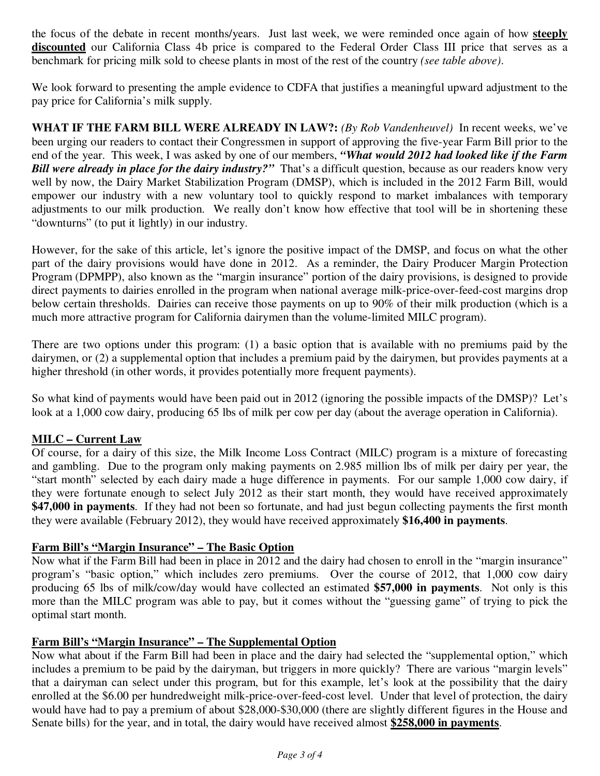the focus of the debate in recent months/years. Just last week, we were reminded once again of how **steeply discounted** our California Class 4b price is compared to the Federal Order Class III price that serves as a benchmark for pricing milk sold to cheese plants in most of the rest of the country *(see table above)*.

We look forward to presenting the ample evidence to CDFA that justifies a meaningful upward adjustment to the pay price for California's milk supply.

**WHAT IF THE FARM BILL WERE ALREADY IN LAW?:** *(By Rob Vandenheuvel)* In recent weeks, we've been urging our readers to contact their Congressmen in support of approving the five-year Farm Bill prior to the end of the year. This week, I was asked by one of our members, *"What would 2012 had looked like if the Farm Bill were already in place for the dairy industry?"* That's a difficult question, because as our readers know very well by now, the Dairy Market Stabilization Program (DMSP), which is included in the 2012 Farm Bill, would empower our industry with a new voluntary tool to quickly respond to market imbalances with temporary adjustments to our milk production. We really don't know how effective that tool will be in shortening these "downturns" (to put it lightly) in our industry.

However, for the sake of this article, let's ignore the positive impact of the DMSP, and focus on what the other part of the dairy provisions would have done in 2012. As a reminder, the Dairy Producer Margin Protection Program (DPMPP), also known as the "margin insurance" portion of the dairy provisions, is designed to provide direct payments to dairies enrolled in the program when national average milk-price-over-feed-cost margins drop below certain thresholds. Dairies can receive those payments on up to 90% of their milk production (which is a much more attractive program for California dairymen than the volume-limited MILC program).

There are two options under this program: (1) a basic option that is available with no premiums paid by the dairymen, or (2) a supplemental option that includes a premium paid by the dairymen, but provides payments at a higher threshold (in other words, it provides potentially more frequent payments).

So what kind of payments would have been paid out in 2012 (ignoring the possible impacts of the DMSP)? Let's look at a 1,000 cow dairy, producing 65 lbs of milk per cow per day (about the average operation in California).

## **MILC – Current Law**

Of course, for a dairy of this size, the Milk Income Loss Contract (MILC) program is a mixture of forecasting and gambling. Due to the program only making payments on 2.985 million lbs of milk per dairy per year, the "start month" selected by each dairy made a huge difference in payments. For our sample 1,000 cow dairy, if they were fortunate enough to select July 2012 as their start month, they would have received approximately **\$47,000 in payments**. If they had not been so fortunate, and had just begun collecting payments the first month they were available (February 2012), they would have received approximately **\$16,400 in payments**.

#### **Farm Bill's "Margin Insurance" – The Basic Option**

Now what if the Farm Bill had been in place in 2012 and the dairy had chosen to enroll in the "margin insurance" program's "basic option," which includes zero premiums. Over the course of 2012, that 1,000 cow dairy producing 65 lbs of milk/cow/day would have collected an estimated **\$57,000 in payments**. Not only is this more than the MILC program was able to pay, but it comes without the "guessing game" of trying to pick the optimal start month.

#### **Farm Bill's "Margin Insurance" – The Supplemental Option**

Now what about if the Farm Bill had been in place and the dairy had selected the "supplemental option," which includes a premium to be paid by the dairyman, but triggers in more quickly? There are various "margin levels" that a dairyman can select under this program, but for this example, let's look at the possibility that the dairy enrolled at the \$6.00 per hundredweight milk-price-over-feed-cost level. Under that level of protection, the dairy would have had to pay a premium of about \$28,000-\$30,000 (there are slightly different figures in the House and Senate bills) for the year, and in total, the dairy would have received almost **\$258,000 in payments**.